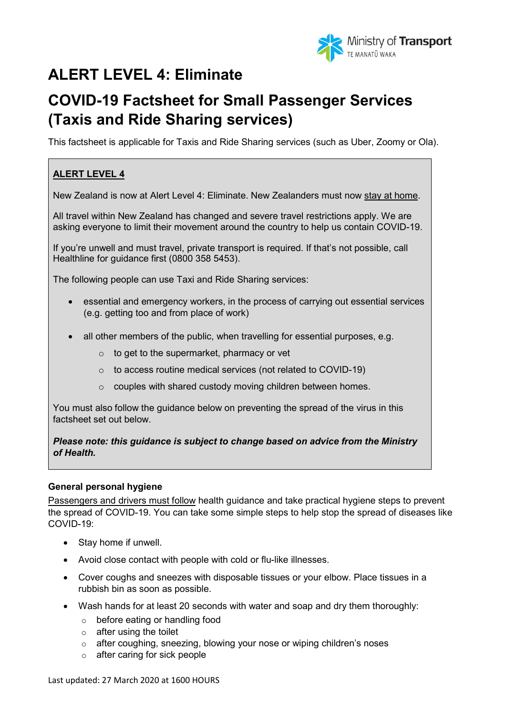

# ALERT LEVEL 4: Eliminate

# COVID-19 Factsheet for Small Passenger Services (Taxis and Ride Sharing services)

This factsheet is applicable for Taxis and Ride Sharing services (such as Uber, Zoomy or Ola).

# ALERT LEVEL 4

New Zealand is now at Alert Level 4: Eliminate. New Zealanders must now stay at home.

All travel within New Zealand has changed and severe travel restrictions apply. We are asking everyone to limit their movement around the country to help us contain COVID-19.

If you're unwell and must travel, private transport is required. If that's not possible, call Healthline for guidance first (0800 358 5453).

The following people can use Taxi and Ride Sharing services:

- essential and emergency workers, in the process of carrying out essential services (e.g. getting too and from place of work)
- all other members of the public, when travelling for essential purposes, e.g.
	- $\circ$  to get to the supermarket, pharmacy or vet
	- o to access routine medical services (not related to COVID-19)
	- o couples with shared custody moving children between homes.

You must also follow the guidance below on preventing the spread of the virus in this factsheet set out below.

# Please note: this guidance is subject to change based on advice from the Ministry of Health.

#### General personal hygiene

Passengers and drivers must follow health guidance and take practical hygiene steps to prevent the spread of COVID-19. You can take some simple steps to help stop the spread of diseases like COVID-19:

- Stay home if unwell.
- Avoid close contact with people with cold or flu-like illnesses.
- Cover coughs and sneezes with disposable tissues or your elbow. Place tissues in a rubbish bin as soon as possible.
- Wash hands for at least 20 seconds with water and soap and dry them thoroughly:
	- o before eating or handling food
	- $\circ$  after using the toilet
	- o after coughing, sneezing, blowing your nose or wiping children's noses
	- o after caring for sick people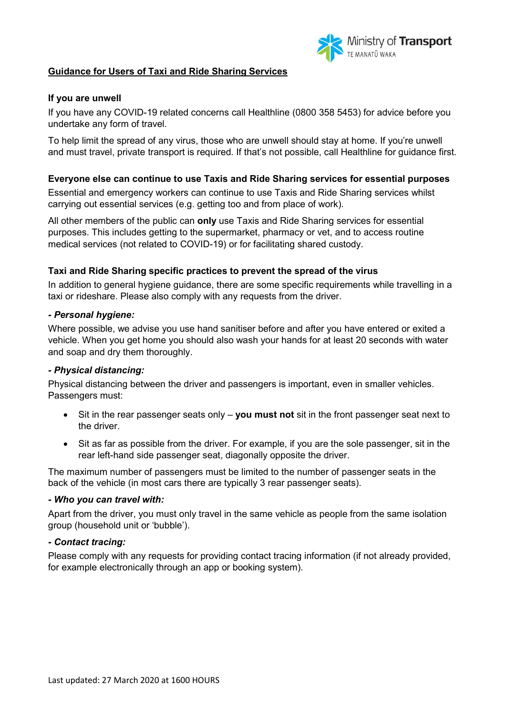

# Guidance for Users of Taxi and Ride Sharing Services

# If you are unwell

If you have any COVID-19 related concerns call Healthline (0800 358 5453) for advice before you undertake any form of travel.

To help limit the spread of any virus, those who are unwell should stay at home. If you're unwell and must travel, private transport is required. If that's not possible, call Healthline for guidance first.

# Everyone else can continue to use Taxis and Ride Sharing services for essential purposes

Essential and emergency workers can continue to use Taxis and Ride Sharing services whilst carrying out essential services (e.g. getting too and from place of work).

All other members of the public can **only** use Taxis and Ride Sharing services for essential purposes. This includes getting to the supermarket, pharmacy or vet, and to access routine medical services (not related to COVID-19) or for facilitating shared custody.

#### Taxi and Ride Sharing specific practices to prevent the spread of the virus

In addition to general hygiene guidance, there are some specific requirements while travelling in a taxi or rideshare. Please also comply with any requests from the driver.

# - Personal hygiene:

Where possible, we advise you use hand sanitiser before and after you have entered or exited a vehicle. When you get home you should also wash your hands for at least 20 seconds with water and soap and dry them thoroughly.

#### - Physical distancing:

Physical distancing between the driver and passengers is important, even in smaller vehicles. Passengers must:

- $\bullet$  Sit in the rear passenger seats only  $-$  you must not sit in the front passenger seat next to the driver.
- Sit as far as possible from the driver. For example, if you are the sole passenger, sit in the rear left-hand side passenger seat, diagonally opposite the driver.

The maximum number of passengers must be limited to the number of passenger seats in the back of the vehicle (in most cars there are typically 3 rear passenger seats).

#### - Who you can travel with:

Apart from the driver, you must only travel in the same vehicle as people from the same isolation group (household unit or 'bubble').

#### - Contact tracing:

Please comply with any requests for providing contact tracing information (if not already provided, for example electronically through an app or booking system).